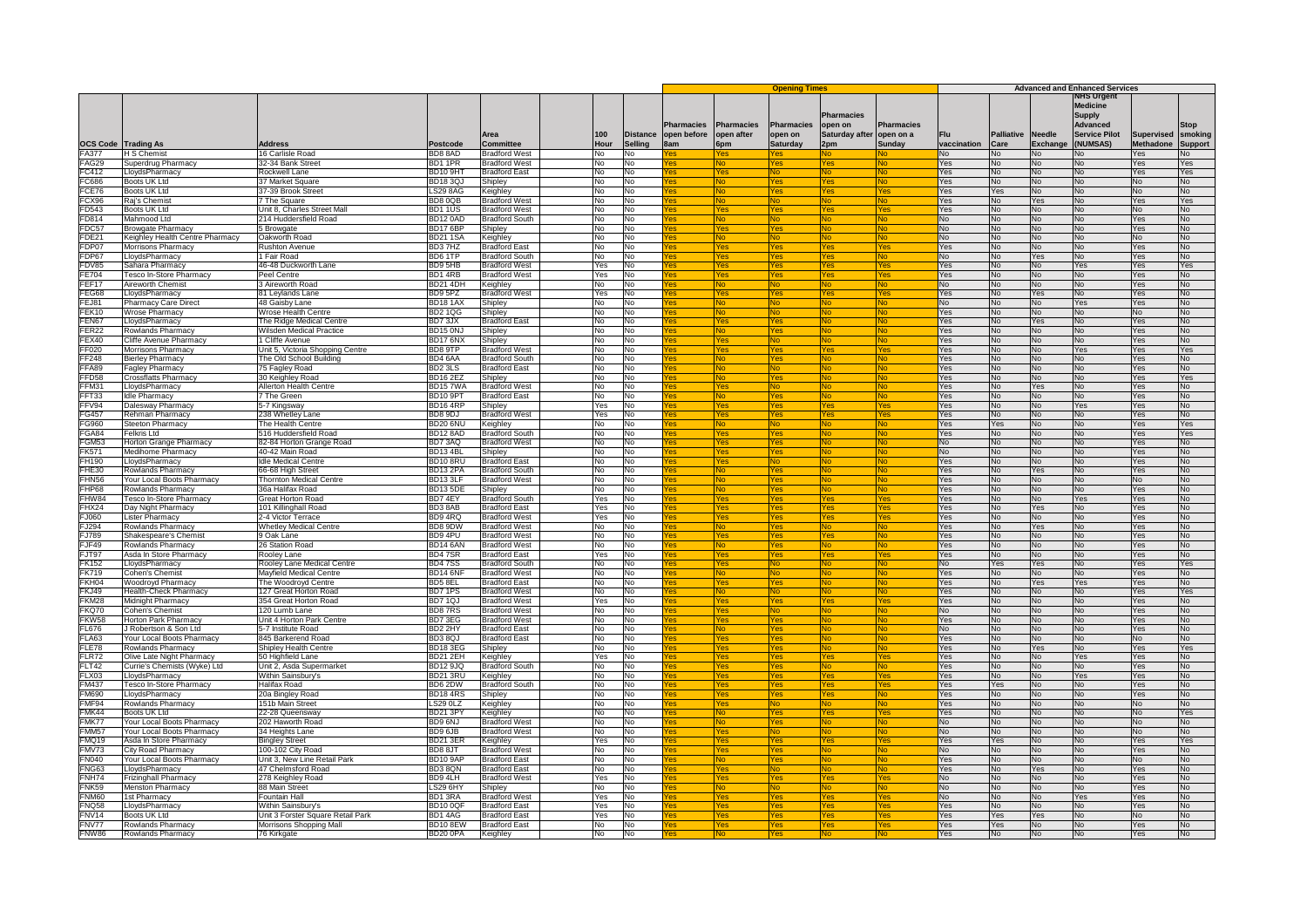|                                      |                                                           |                                                 |                                       |                                               |            |                            |             |                          |                                           |                              | <b>Advanced and Enhanced Services</b> |                    |                           |                                  |                                                            |                                       |                      |
|--------------------------------------|-----------------------------------------------------------|-------------------------------------------------|---------------------------------------|-----------------------------------------------|------------|----------------------------|-------------|--------------------------|-------------------------------------------|------------------------------|---------------------------------------|--------------------|---------------------------|----------------------------------|------------------------------------------------------------|---------------------------------------|----------------------|
|                                      |                                                           |                                                 |                                       |                                               |            |                            | Pharmacies  | <b>Pharmacies</b>        | <b>Opening Times</b><br><b>Pharmacies</b> | <b>Pharmacies</b><br>open on | <b>Pharmacies</b>                     |                    |                           |                                  | NHS Urgent<br><b>Medicine</b><br><b>Supply</b><br>Advanced |                                       | Stop                 |
|                                      |                                                           | <b>Address</b>                                  | Postcode                              | Area<br>Committee                             | 00<br>Hour | <b>Distance</b><br>Sellina | open before | open after<br><b>Spm</b> | open on<br><b>Saturday</b>                | Saturday after<br>2pm        | open on a<br>Sunday                   | Flu<br>vaccination | <b>Palliative</b><br>Care | <b>Needle</b><br><b>Exchange</b> | <b>Service Pilot</b><br><b>NUMSAS)</b>                     | <b>Supervised</b><br><b>Methadone</b> | smoking              |
| <b>OCS Code Trading As</b><br>FA377  | <b>H S Chemist</b>                                        | 16 Carlisle Road                                | BD88AD                                | <b>Bradford West</b>                          | No         | No                         | Bam         |                          |                                           |                              |                                       | No                 | N٥                        | No.                              | lo.                                                        | Yes.                                  | <b>Support</b><br>ח∨ |
| FAG29                                | Superdrug Pharmacy                                        | 32-34 Bank Street                               | BD11PR                                | <b>Bradford West</b>                          | No         | No                         |             |                          |                                           |                              |                                       | Yes                | No                        | <b>No</b>                        | ٩o                                                         | Yes                                   | Yes                  |
| FC412                                | LloydsPharmacy                                            | Rockwell Lane                                   | <b>BD10 9HT</b>                       | <b>Bradford East</b>                          | No.        | <b>No</b>                  |             | Ves                      |                                           |                              | <b>No</b>                             | Yes                | No.                       | No.                              | No.                                                        | Yes.                                  | Yes                  |
| C686                                 | Boots UK Ltd                                              | 37 Market Square                                | BD1830.                               | Shipley                                       | No.        | No                         |             | No.                      | 'es                                       | es)                          | No                                    | Yes                | N <sub>0</sub>            | No                               | No.                                                        | No                                    | No.                  |
| CE76<br>FCX96                        | Boots UK Ltd<br>Rai's Chemist                             | 37-39 Brook Street<br>7 The Square              | <b>LS29 8AG</b><br>BD80OB             | Keighley<br><b>Bradford West</b>              | No<br>No   | No<br>No.                  | es          | No.<br>No                | 'es                                       | Άs                           | ⁄es                                   | Yes<br>Yes         | Yes<br>No                 | No<br><b>Yes</b>                 | No<br>No                                                   | No<br>Yes.                            | No<br>Yes            |
| D543                                 | <b>Boots UK Ltd</b>                                       | Jnit 8, Charles Street Mall                     | BD11US                                | <b>Bradford West</b>                          | No         | No                         |             | es                       | es                                        |                              | No<br>'es                             | Yes                | <b>No</b>                 | No                               | ٩o                                                         | No                                    | No                   |
| FD814                                | Mahmood Ltd                                               | 214 Huddersfield Road                           | BD12 0AD                              | <b>Bradford South</b>                         | No         | No                         |             |                          |                                           |                              |                                       | No                 | No                        | No                               | No                                                         | Yes                                   | No                   |
| FDC57                                | <b>Browgate Pharmacy</b>                                  | 5 Browgate                                      | <b>BD176BF</b>                        | Shipley                                       | No         | No                         |             |                          | 'nс                                       |                              | <b>N<sub>O</sub></b>                  | No                 | N <sub>0</sub>            | No.                              | No.                                                        | Yes.                                  | N <sub>0</sub>       |
| DE21                                 | Keighley Health Centre Pharmacy                           | Oakworth Road                                   | <b>BD211SA</b>                        | Keighley                                      | Nο         | No                         |             | No.                      |                                           |                              | Nο                                    | No                 | No.                       | No                               | J٥                                                         | No                                    | No                   |
| FDP07<br>FDP67                       | Morrisons Pharmacy<br>LlovdsPharmacv                      | <b>Rushton Avenue</b><br>1 Fair Road            | BD37HZ<br>BD6 1TP                     | <b>Bradford East</b><br><b>Bradford South</b> | No         | No                         |             | 'es                      | 'es                                       | 'es                          | es                                    | Yes                | <b>No</b>                 | No<br>Yes                        | No<br>No.                                                  | <b>Yes</b><br>Yes.                    | No<br>No.            |
| DV85                                 | Sahara Pharmacy                                           | 6-48 Duckworth Lane                             | BD9 5HB                               | <b>Bradford West</b>                          | No<br>Yes  | No.<br>No                  |             | 'es<br>'es               | 'es<br>es                                 |                              | No<br>'es                             | No<br>Yes          | No<br>No.                 | No                               | Yes                                                        | Yes                                   | Yes                  |
| E704                                 | Tesco In-Store Pharmacv                                   | eel Centre                                      | BD1 4RB                               | <b>Bradford West</b>                          | 'es        | No                         |             |                          |                                           |                              |                                       | Yes                | No                        | No                               | N٥                                                         | Yes                                   | <b>No</b>            |
| EF <sub>17</sub>                     | <b>Aireworth Chemist</b>                                  | 3 Aireworth Road                                | <b>BD21 4DH</b>                       | Keighley                                      | No         | No                         |             |                          |                                           |                              | No.                                   | No                 | N <sub>0</sub>            | No.                              | No                                                         | <b>Yes</b>                            | N <sub>o</sub>       |
| EG68                                 | LloydsPharmacy                                            | 81 Leylands Lane                                | BD9 5PZ                               | <b>Bradford West</b>                          | Yes        | No                         | ۵Ś          | Yes                      | 'es                                       | 49 <sup>2</sup>              | Yes                                   | Yes                | No.                       | Yes                              | N۵                                                         | Yes                                   | No                   |
| EJ81                                 | <b>Pharmacy Care Direct</b>                               | 48 Gaisby Lane                                  | <b>BD181AX</b>                        | Shipley                                       | No         | <b>No</b>                  |             | No                       |                                           |                              | <b>No</b>                             | No                 | <b>No</b>                 | No                               | Yes                                                        | <b>Yes</b>                            | No                   |
| <b>EK10</b><br>FEN67                 | Wrose Pharmacy<br>LloydsPharmacy                          | Wrose Health Centre<br>The Ridge Medical Centre | <b>BD21QG</b><br>BD73JX               | Shipley<br><b>Bradford East</b>               | No<br>No   | No<br>No                   |             | No.<br>'es               | 'es                                       |                              | No<br>Nο                              | Yes<br>Yes         | No<br>No.                 | <b>No</b><br><b>Yes</b>          | <b>No</b><br>N∩                                            | <b>No</b><br>Yes:                     | No.<br>No.           |
| FER22                                | Rowlands Pharmacy                                         | <b>Nilsden Medical Practice</b>                 | BD15 0N.                              | Shipley                                       | No         | No                         |             |                          |                                           |                              |                                       | Yes                | No                        | N <sub>0</sub>                   | No                                                         | Yes                                   | No                   |
| <b>EX40</b>                          | Cliffe Avenue Pharmacy                                    | 1 Cliffe Avenue                                 | BD176NX                               | Shipley                                       | No         | No                         |             |                          |                                           |                              |                                       | Yes                | No                        | No.                              | No                                                         | Yes                                   | No                   |
| F020                                 | Morrisons Pharmacy                                        | Unit 5, Victoria Shopping Centre                | BD8 9TP                               | <b>Bradford West</b>                          | No.        | No                         |             | Yes                      | es.                                       | Yes                          | Yes                                   | Yes                | N <sub>0</sub>            | No.                              | Yes.                                                       | Yes.                                  | <b>Yes</b>           |
| F <sub>248</sub><br>FA <sub>89</sub> | <b>Bierley Pharmacy</b>                                   | The Old School Building                         | BD46AA                                | <b>Bradford South</b>                         | Nο         | Nο                         |             | No.                      | es                                        |                              | No                                    | Yes                | N <sub>0</sub>            | No.                              | No.                                                        | Yes                                   | No.                  |
| FD58                                 | <b>Fagley Pharmacy</b><br>Crossflatts Pharmacy            | 75 Fagley Road<br>30 Keighley Road              | BD <sub>2</sub> 3LS<br><b>BD162EZ</b> | <b>Bradford East</b><br>Shipley               | No<br>No   | No<br>No.                  | es          | No.<br>No.               | 'es                                       |                              | N٥<br>No                              | Yes<br>Yes         | No<br>No                  | No<br>No.                        | No<br>N٥                                                   | Yes<br>Yes.                           | No<br>Yes            |
| <b>FM31</b>                          | LloydsPharmacy                                            | llerton Health Centre                           | BD157WA                               | <b>Bradford West</b>                          | No         | No                         |             | es                       |                                           |                              | NO                                    | Yes                | <b>No</b>                 | Yes                              | N٥                                                         | Yes                                   | No                   |
| FT33                                 | Idle Pharmacy                                             | The Green                                       | BD10 9PT                              | <b>Bradford East</b>                          | No         | No                         |             |                          |                                           |                              |                                       | Yes                | No                        | No                               | N٥                                                         | Yes                                   | No                   |
| <b>FV94</b>                          | Dalesway Pharmacy                                         | 5-7 Kingsway                                    | <b>BD164RP</b>                        | Shipley                                       | Yes        | No                         |             |                          | $^{\prime}$ oe                            |                              | es/                                   | Yes                | N <sub>0</sub>            | N <sub>0</sub>                   | <b>Yes</b>                                                 | <b>Yes</b>                            | No                   |
| G457                                 | Rehman Pharmacy                                           | 38 Whetley Lane                                 | BD8 9DJ                               | <b>Bradford West</b>                          | Yes        | No                         |             | es.                      | 'es                                       | 'es                          | Yes                                   | Yes                | <b>No</b>                 | No                               | No.                                                        | Yes                                   | No                   |
| G960<br>GA84                         | Steeton Pharmacy<br>Felkris Ltd                           | The Health Centre<br>516 Huddersfield Road      | <b>BD20 6NU</b><br><b>BD12 8AD</b>    | Keighley<br><b>Bradford South</b>             | No<br>No   | Μo<br>No.                  | 'es         | No.<br>'es               | 'es                                       |                              | <b>No</b><br>No                       | Yes<br>Yes         | Yes<br>No.                | No<br>No.                        | No<br>No                                                   | <b>Yes</b><br>Yes.                    | Yes<br>Yes           |
| <b>GM53</b>                          | Horton Grange Pharmacy                                    | 82-84 Horton Grange Road                        | BD73AQ                                | <b>Bradford West</b>                          | No         | No                         |             | 'es                      | 'es                                       |                              | N٥                                    | No                 | No.                       | No.                              | N٥                                                         | Yes                                   | No                   |
| FK571                                | Medihome Pharmacv                                         | 40-42 Main Road                                 | <b>BD134BL</b>                        | Shipley                                       | No         | No                         |             |                          |                                           |                              |                                       | No                 | No                        | No                               | N٥                                                         | Yes                                   | No                   |
| H <sub>190</sub>                     | LloydsPharmacy                                            | <b>Idle Medical Centre</b>                      | BD108RU                               | <b>Bradford East</b>                          | No         | No                         |             |                          |                                           |                              |                                       | Yes                | No                        | No.                              | No                                                         | <b>Yes</b>                            | N <sub>o</sub>       |
| <b>HE30</b>                          | Rowlands Pharmacy                                         | 66-68 High Street                               | BD132PA                               | <b>Bradford South</b>                         | Vo         | No                         |             | No                       | 'es                                       |                              | No                                    | Yes                | N٥                        | Yes                              | N۵                                                         | Yes                                   | No                   |
| <b>HN56</b><br><b>HP68</b>           | Your Local Boots Pharmacy<br>Rowlands Pharmacy            | Thornton Medical Centre<br>36a Halifax Road     | BD133LF<br><b>BD135DE</b>             | <b>Bradford West</b>                          | No<br>No   | <b>No</b><br>No            |             | No.<br>N٥                | es<br>'es                                 |                              | No<br>N٥                              | Yes<br>Yes         | <b>No</b><br>No           | No<br><b>No</b>                  | No<br>No                                                   | <b>No</b><br><b>Yes</b>               | No<br>No.            |
| <b>HW84</b>                          | Tesco In-Store Pharmacy                                   | Great Horton Road                               | BD74EY                                | Shipley<br><b>Bradford South</b>              | Yes.       | No                         |             | 'es                      | 'es                                       |                              | 'es                                   | Yes                | No.                       | No                               | Yes.                                                       | Yes.                                  | No∴                  |
| HX24                                 | Day Night Pharmacy                                        | 101 Killinghall Road                            | BD38AB                                | <b>Bradford East</b>                          | ⁄es        | No                         |             |                          |                                           |                              | 'es                                   | Yes                | No                        | Yes                              | No                                                         | Yes                                   | No                   |
| :J060                                | Lister Pharmacy                                           | 2-4 Victor Terrace                              | BD94RQ                                | <b>Bradford West</b>                          | Yes        | No                         |             |                          | ΆS                                        |                              | $\sqrt{2}$                            | Yes                | No                        | No                               | No                                                         | Yes                                   | No                   |
| F.1294                               | Rowlands Pharmacy                                         | <b>Whetley Medical Centre</b>                   | BD8 9DW                               | <b>Bradford West</b>                          | No         | <b>No</b>                  |             | No.                      | es <sup>-</sup>                           |                              | <b>No</b>                             | Yes                | N <sub>0</sub>            | <b>Yes</b>                       | No.                                                        | Yes.                                  | No.                  |
| J789<br>F.JF49                       | Shakespeare's Chemist                                     | 9 Oak Lane<br>26 Station Road                   | BD9 4PU<br><b>BD14 6AN</b>            | <b>Bradford West</b><br><b>Bradford West</b>  | No         | No                         |             | 'es                      | 'es<br>'es                                | es/                          | No                                    | Yes                | N <sub>0</sub>            | No.                              | No                                                         | Yes                                   | N <sub>o</sub>       |
| FJT97                                | Rowlands Pharmacy<br>Asda In Store Pharmacy               | Roolev Lane                                     | BD47SR                                | <b>Bradford East</b>                          | No<br>Yes  | No<br>No.                  | <b>es</b>   | N٥<br>'es                | ⁄es                                       |                              | N٥<br>Yes                             | Yes<br>Yes         | No<br>No                  | No<br>No.                        | No<br>No.                                                  | Yes<br>Yes.                           | No<br>No             |
| K152                                 | LloydsPharmacy                                            | Rooley Lane Medical Centre                      | <b>BD47SS</b>                         | <b>Bradford South</b>                         | No         | No                         |             |                          |                                           |                              |                                       | No                 | Yes                       | Yes                              | N٥                                                         | Yes                                   | Yes                  |
| :K719                                | Cohen's Chemist                                           | Mayfield Medical Centre                         | <b>BD146NF</b>                        | <b>Bradford West</b>                          | No         | No                         |             |                          |                                           |                              |                                       | Yes                | No                        | No                               | No                                                         | Yes                                   | No                   |
| KH <sub>04</sub>                     | Woodroyd Pharmacy                                         | The Woodrovd Centre                             | BD58EL                                | <b>Bradford East</b>                          | No.        | No                         |             |                          | 'nс                                       |                              | N۵                                    | Yes                | No.                       | <b>Yes</b>                       | <b>Yes</b>                                                 | Yes.                                  | No                   |
| KJ49<br>KM28                         | Health-Check Pharmacy                                     | 127 Great Horton Road                           | BD71PS                                | <b>Bradford West</b>                          | Vo         | No                         |             | No.                      |                                           |                              | Nο                                    | Yes                | No.                       | No                               | No.                                                        | Yes                                   | Yes                  |
| KQ70                                 | Midnight Pharmacy<br>Cohen's Chemist                      | 354 Great Horton Road<br>120 Lumb Lane          | BD71QJ<br>BD87RS                      | <b>Bradford West</b><br><b>Bradford West</b>  | Yes<br>No  | No<br>No                   |             | 'es<br>es                | 'es                                       |                              | Yes<br>No                             | Yes<br>No          | <b>No</b><br>No.          | No<br>No.                        | No<br>No                                                   | <b>Yes</b><br>Yes.                    | No<br>No.            |
| KW58                                 | <b>Horton Park Pharmacy</b>                               | Jnit 4 Horton Park Centre                       | BD73EG                                | <b>Bradford West</b>                          | No         | No                         |             | es                       | es                                        |                              | N٥                                    | Yes                | No.                       | No.                              | ۹o                                                         | Yes                                   | No                   |
| L676                                 | J Robertson & Son Ltd                                     | 5-7 Institute Road                              | BD <sub>2</sub> 2HY                   | <b>Bradford East</b>                          |            | No                         |             |                          |                                           |                              |                                       | No                 | No                        | No                               | ٩o                                                         | Yes                                   | No                   |
| LA63                                 | Your Local Boots Pharmacy                                 | 845 Barkerend Road                              | <b>BD38QJ</b>                         | <b>Bradford East</b>                          | N٥         | No                         |             |                          | Ъe                                        |                              |                                       | Yes                | No.                       | No                               | N٥                                                         | No                                    | No                   |
| LE78                                 | Rowlands Pharmacy                                         | Shipley Health Centre                           | <b>BD183EG</b>                        | Shipley                                       | No         | No                         |             | 'es                      | 'es                                       |                              | No.                                   | Yes                | No.                       | Yes                              | N۵                                                         | Yes                                   | Yes                  |
| <b>LR72</b><br>FLT42                 | Olive Late Night Pharmacy<br>Currie's Chemists (Wyke) Ltd | 50 Highfield Lane<br>Unit 2. Asda Supermarket   | BD21 2EH<br><b>BD12 9JQ</b>           | Keighley<br><b>Bradford South</b>             | Yes<br>No  | No<br>No                   |             | 'es<br>'es               | 'es<br>'es                                |                              | Yes<br>No.                            | Yes<br>Yes         | <b>No</b><br>No           | No<br>No.                        | Yes<br><b>No</b>                                           | <b>Yes</b><br><b>Yes</b>              | No<br>No.            |
| FLX03                                | LloydsPharmacy                                            | Within Sainsbury's                              | <b>BD21 3RU</b>                       | Keighley                                      | No         | No.                        |             | 'es                      | 'es                                       |                              | 'es                                   | Yes                | No.                       | No                               | Yes.                                                       | Yes.                                  | No∴                  |
| <b>FM437</b>                         | Tesco In-Store Pharmacy                                   | Halifax Road                                    | BD62DW                                | <b>Bradford South</b>                         | No         | No                         |             |                          |                                           |                              |                                       | Yes                | Yes                       | <b>No</b>                        | No                                                         | Yes                                   | No.                  |
| M690                                 | LloydsPharmacy                                            | 20a Bingley Road                                | <b>BD184RS</b>                        | Shipley                                       | No         | No                         |             |                          | ΆS                                        |                              |                                       | Yes                | No                        | No.                              | No                                                         | Yes                                   | No                   |
| MF94                                 | Rowlands Pharmacy                                         | 151b Main Street                                | <b>LS29 0LZ</b>                       | Keighley                                      | No.        | No                         |             | <b>YAS</b>               | ln.                                       |                              | <b>No</b>                             | Yes                | N <sub>0</sub>            | No.                              | No.                                                        | N <sub>0</sub>                        | No.                  |
| MK44<br>MK77                         | Boots UK Ltd<br>Your Local Boots Pharmacy                 | 22-28 Queensway<br>202 Haworth Road             | <b>BD21 3PY</b><br>BD9 6NJ            | Keighley<br><b>Bradford West</b>              | No<br>No   | No<br>No                   |             | N۵<br>N٥                 | es<br>'es                                 |                              | es/<br>N٥                             | Yes<br>No          | N <sub>0</sub><br>No      | No.<br>No                        | No.<br>No                                                  | No<br>No                              | Yes<br>No            |
| MM <sub>57</sub>                     | Your Local Boots Pharmacy                                 | 34 Heights Lane                                 | BD96JB                                | <b>Bradford West</b>                          | No         | No                         | <b>es</b>   | 'es                      |                                           |                              | No                                    | No                 | No                        | No.                              | N٥                                                         | No.                                   | No                   |
| MQ19                                 | Asda In Store Pharmacy                                    | <b>Bingley Street</b>                           | <b>BD21 3ER</b>                       | Keighley                                      | ⁄es        | No                         |             |                          | es                                        |                              | res                                   | Yes                | Yes                       | No                               | N٥                                                         | Yes                                   | Yes                  |
| MV73                                 | City Road Pharmacy                                        | 100-102 City Road                               | <b>BD8 8JT</b>                        | <b>Bradford West</b>                          | J٥         | No                         |             |                          |                                           |                              |                                       | No                 | No                        | No                               | N٥                                                         | Yes                                   | No                   |
| N040                                 | Your Local Boots Pharmacy                                 | Unit 3, New Line Retail Park                    | <b>BD109AF</b>                        | <b>Bradford East</b>                          | No.        | No                         |             | Nη                       | 'es                                       |                              | <b>No</b>                             | Yes                | N <sub>0</sub>            | No.                              | No                                                         | No                                    | N <sub>o</sub>       |
| NG63<br><b>FNH74</b>                 | LloydsPharmacy<br>Frizinghall Pharmacy                    | 47 Chelmsford Road<br>278 Keighley Road         | <b>BD380N</b><br>BD9 4LH              | <b>Bradford East</b><br><b>Bradford West</b>  | Vo<br>Yes  | Νo<br>Μo                   | ٩g          | es <sup>/</sup><br>'es   | 'es                                       | es/                          | No<br>Yes                             | Yes<br>No          | No<br><b>No</b>           | Yes<br>No                        | J٥<br>No                                                   | Yes<br>Yes                            | No<br>No             |
| FNK59                                | <b>Menston Pharmacy</b>                                   | 88 Main Street                                  | <b>LS29 6HY</b>                       | Shipley                                       | No         | No.                        |             | N٥                       |                                           |                              | No                                    | No.                | No.                       | No.                              | No                                                         | Yes.                                  | No.                  |
| NM <sub>60</sub>                     | 1st Pharmacy                                              | ountain Hall                                    | BD13RA                                | <b>Bradford West</b>                          | Yes        | No                         |             | 'es                      | es                                        |                              | 'es                                   | No                 | No.                       | No.                              | Yes                                                        | Yes                                   | No                   |
| <b>FNQ58</b>                         | LlovdsPharmacy                                            | Within Sainsbury's                              | <b>BD100QF</b>                        | <b>Bradford East</b>                          | 'es        | No                         |             |                          |                                           |                              |                                       | Yes                | No                        | No                               | N٥                                                         | Yes                                   | No                   |
| NV <sub>14</sub>                     | Boots UK Ltd                                              | Unit 3 Forster Square Retail Park               | BD14AG                                | <b>Bradford East</b>                          | ⁄es        | N٥                         |             |                          | 'nс                                       |                              |                                       | Yes                | Yes                       | Yes                              | No.                                                        | N <sub>0</sub>                        | No.                  |
| NV77                                 | Rowlands Pharmacy                                         | Morrisons Shopping Mall                         | BD108EW                               | <b>Bradford East</b>                          | No         | No                         |             | $\sqrt{2}$               | 'es                                       | 49 <sup>2</sup>              | Yes                                   | Yes                | Yes                       | No                               | N٥                                                         | Yes                                   | No.                  |
| <b>FNW86</b>                         | Rowlands Pharmacy                                         | 76 Kirkgate                                     | BD200PA                               | Keighley                                      | No         | No                         |             | <b>No</b>                | 'es                                       |                              | <b>No</b>                             | Yes                | <b>No</b>                 | <b>No</b>                        | No                                                         | <b>Yes</b>                            | <b>No</b>            |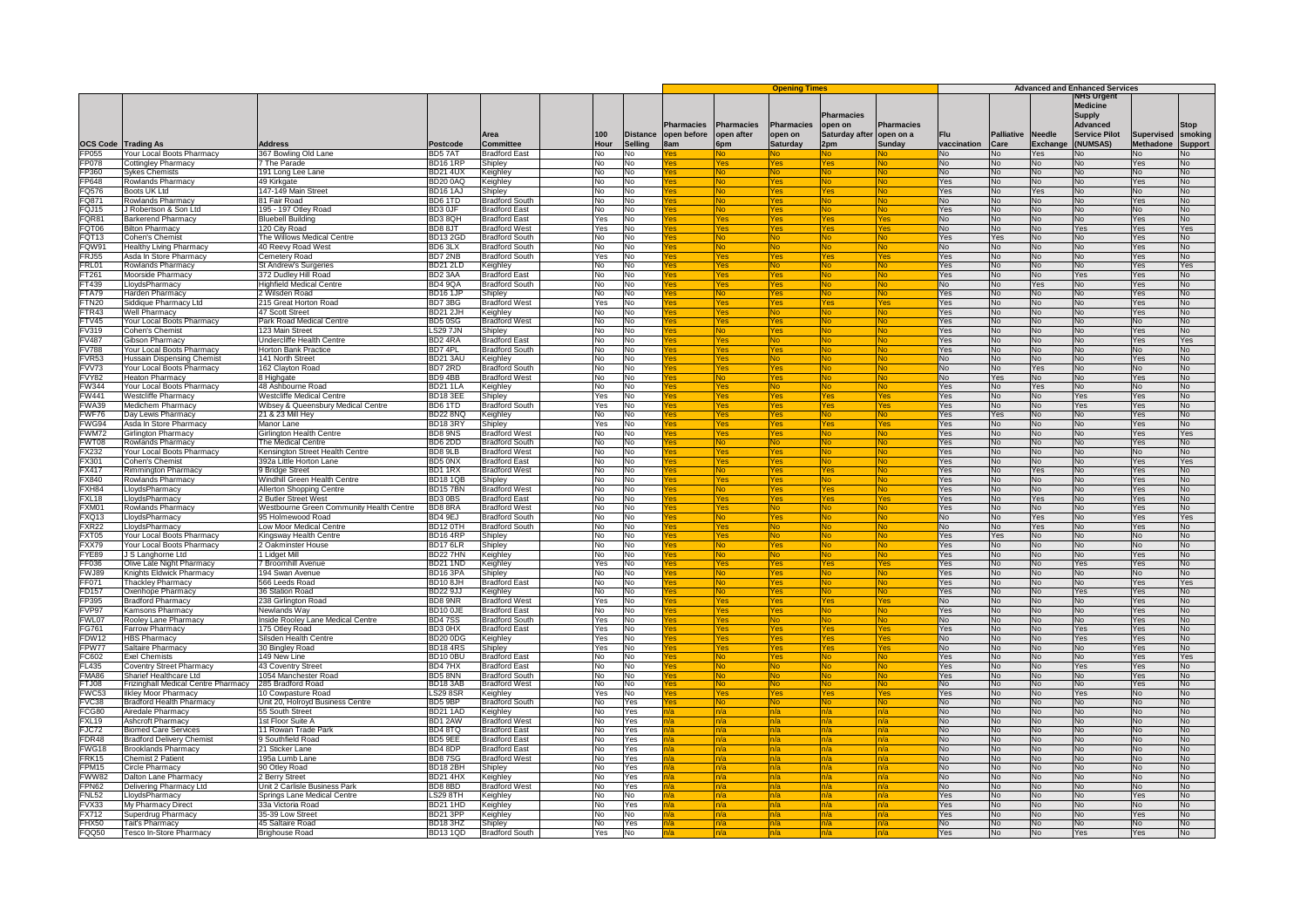|                 |                                     |                                          |                     |                                  |                |                            |                    |                          |                                           | <b>Advanced and Enhanced Services</b> |                     |                    |                           |                                  |                                                            |                                       |                           |
|-----------------|-------------------------------------|------------------------------------------|---------------------|----------------------------------|----------------|----------------------------|--------------------|--------------------------|-------------------------------------------|---------------------------------------|---------------------|--------------------|---------------------------|----------------------------------|------------------------------------------------------------|---------------------------------------|---------------------------|
|                 |                                     |                                          |                     |                                  |                |                            | <b>Pharmacies</b>  | <b>Pharmacies</b>        | <b>Opening Times</b><br><b>Pharmacies</b> | <b>Pharmacies</b><br>open on          | <b>Pharmacies</b>   |                    |                           |                                  | NHS Urgent<br><b>Medicine</b><br><b>Supply</b><br>Advanced |                                       | Stop                      |
| <b>OCS Code</b> | <b>Trading As</b>                   | <b>Address</b>                           | Postcode            | Area<br>Committee                | 100<br>Hour    | <b>Distance</b><br>Sellina | open before<br>8am | open after<br><b>Spm</b> | open on<br><b>Saturday</b>                | <b>Saturday after</b><br>2pm          | open on a<br>Sunday | Flu<br>vaccination | <b>Palliative</b><br>Care | <b>Needle</b><br><b>Exchange</b> | <b>Service Pilot</b><br><b>NUMSAS)</b>                     | <b>Supervised</b><br><b>Methadone</b> | smoking<br><b>Support</b> |
| FP055           | Your Local Boots Pharmacy           | 367 Bowling Old Lane                     | BD57AT              | <b>Bradford Fast</b>             | No             | No                         |                    |                          |                                           |                                       |                     | No                 | No.                       | Yes                              | lo.                                                        | No                                    | N۵                        |
| FP078           | Cottingley Pharmacy                 | The Parade                               | <b>BD16 1RF</b>     | Shipley                          | No             | No                         |                    |                          |                                           |                                       |                     | No                 | No                        | <b>No</b>                        | ٩o                                                         | Yes                                   | No                        |
| FP360           | Sykes Chemists                      | 191 Long Lee Lane                        | <b>BD21 4UX</b>     | Keighley                         | N <sub>o</sub> | No                         |                    | <b>No</b>                |                                           |                                       | <b>No</b>           | No.                | No.                       | No.                              | No.                                                        | <b>No</b>                             | No.                       |
| FP648           | Rowlands Pharmacy                   | 49 Kirkgate                              | <b>BD20 0AQ</b>     | Keighley                         | <b>No</b>      | No                         |                    | No.                      | 'es                                       |                                       | No.                 | Yes                | N <sub>0</sub>            | No.                              | J٥                                                         | Yes                                   | N <sub>0</sub>            |
|                 |                                     | 147-149 Main Street                      |                     |                                  |                |                            |                    |                          | es                                        |                                       |                     |                    |                           |                                  |                                                            |                                       |                           |
| FQ576<br>FQ871  | Boots UK Ltd<br>Rowlands Pharmacy   | 81 Fair Road                             | BD16 1AJ            | Shipley<br><b>Bradford South</b> | No             | No                         |                    | N٥                       |                                           |                                       |                     | Yes                | No                        | Yes                              | No                                                         | No                                    | No                        |
|                 |                                     |                                          | BD6 1TD             |                                  | No.            | No                         |                    | N٥                       | 'es                                       |                                       | <b>No</b>           | No                 | No                        | No                               | No                                                         | Yes                                   | No                        |
| FQJ15           | Robertson & Son Ltd                 | 195 - 197 Otley Road                     | BD3 0JF             | <b>Bradford East</b>             | No             | No                         |                    | N٥                       | es                                        |                                       |                     | Yes                | <b>No</b>                 | No                               | ٩o                                                         | <b>No</b>                             | No                        |
| FQR81           | Barkerend Pharmacv                  | <b>Bluebell Building</b>                 | BD3 8QH             | <b>Bradford East</b>             | Yes            | No                         |                    |                          |                                           |                                       |                     | No                 | No                        | No                               | N٥                                                         | <b>Yes</b>                            | No                        |
| FQT06           | <b>Bilton Pharmacy</b>              | 120 City Road                            | BD88JT              | <b>Bradford West</b>             | Yes            | No                         |                    |                          |                                           |                                       |                     | No                 | N <sub>0</sub>            | N <sub>0</sub>                   | Yes.                                                       | Yes.                                  | Yes                       |
| FQT13           | Cohen's Chemist                     | The Willows Medical Centre               | <b>BD132GD</b>      | <b>Bradford South</b>            | No             | ٧o                         |                    | <b>No</b>                |                                           |                                       | No.                 | Yes                | Yes                       | No                               | ٩o                                                         | Yes                                   | No                        |
| FQW91           | <b>Healthy Living Pharmacy</b>      | 40 Reevy Road West                       | BD63LX              | <b>Bradford South</b>            | No             | No                         |                    | No.                      |                                           |                                       |                     | No                 | <b>No</b>                 | No                               | No                                                         | <b>Yes</b>                            | No                        |
| FR.155          | Asda In Store Pharmacy              | Cemetery Road                            | BD7 2NB             | <b>Bradford South</b>            | Yes            | No                         |                    | 'es                      | es                                        |                                       | Yes                 | <b>Yes</b>         | No.                       | N <sub>o</sub>                   | No                                                         | Yes.                                  | No.                       |
| FRL01           | Rowlands Pharmacy                   | St Andrew's Surgeries                    | <b>BD21 2LD</b>     | Keighley                         | No.            | No.                        |                    | 'es                      |                                           |                                       | NO.                 | Yes.               | No.                       | No.                              | N۵                                                         | Yes:                                  | Yes.                      |
| FT261           | Moorside Pharmacv                   | 372 Dudley Hill Road                     | BD <sub>2</sub> 3AA | <b>Bradford East</b>             | No             | No                         |                    |                          |                                           |                                       |                     | Yes                | <b>No</b>                 | No                               | 'es                                                        | Yes                                   | No                        |
| FT439           | LloydsPharmacy                      | Highfield Medical Centre                 | BD4 9QA             | <b>Bradford South</b>            | <b>No</b>      | No                         |                    |                          |                                           |                                       |                     | No                 | N <sub>0</sub>            | Yes                              | No                                                         | Yes                                   | No.                       |
| FTA79           | Harden Pharmacy                     | 2 Wilsden Road                           | BD161JP             | Shipley                          | No             | No                         |                    | No.                      | es <sup>/</sup>                           |                                       | No.                 | Yes                | N <sub>0</sub>            | No.                              | No                                                         | Yes.                                  | No.                       |
| FTN20           | Siddique Pharmacy Ltd               | 215 Great Horton Road                    | BD73BG              | <b>Bradford West</b>             | Yes            | No                         |                    | es/                      | es                                        |                                       | Yes                 | Yes                | N <sub>0</sub>            | No                               | No.                                                        | Yes.                                  | N <sub>0</sub>            |
| FTR43           | <b>Well Pharmacy</b>                | 47 Scott Street                          | <b>BD21 2JH</b>     | Keighley                         | No             | No                         |                    | 'es                      |                                           |                                       | No                  | Yes                | No                        | No                               | No                                                         | Yes                                   | No                        |
| FTV45           | Your Local Boots Pharmacy           | Park Road Medical Centre                 | BD50SG              | <b>Bradford West</b>             | No             | No                         |                    | 'es                      | 'es                                       |                                       |                     | Yes                | No.                       | No.                              | N٥                                                         | N <sub>0</sub>                        | N٥                        |
| FV319           | Cohen's Chemist                     | 23 Main Street                           | <b>LS29 7JN</b>     | Shipley                          | No             | No                         |                    |                          |                                           |                                       |                     | Yes                | No                        | No                               | ٩o                                                         | Yes                                   | No                        |
| <b>FV487</b>    | Gibson Pharmacy                     | Undercliffe Health Centre                | BD2 4RA             | <b>Bradford East</b>             | No             | No                         |                    |                          |                                           |                                       |                     | Yes                | No                        | No                               | No                                                         | Yes                                   | Yes                       |
| <b>FV788</b>    | Your Local Boots Pharmacy           | <b>Horton Bank Practice</b>              | BD7 4PL             | <b>Bradford South</b>            | No.            | No                         |                    | $\sqrt{2}$               | ΆS                                        |                                       |                     | <b>Yes</b>         | No.                       | No.                              | No.                                                        | No.                                   | No.                       |
| FVR53           | Hussain Dispensing Chemist          | 141 North Street                         | BD21 3AU            | Keighley                         | No             | No                         |                    | /es                      |                                           |                                       | N٥                  | No                 | N <sub>0</sub>            | No.                              | J٥                                                         | Yes                                   | No                        |
| FVV73           | Your Local Boots Pharmacy           | 162 Clayton Road                         | BD7 2RD             | <b>Bradford South</b>            | No             | No                         |                    | 'es                      | es                                        |                                       |                     | No                 | <b>No</b>                 | Yes                              | No                                                         | No                                    | No                        |
|                 | <b>Heaton Pharmacy</b>              |                                          | BD94BB              | <b>Bradford West</b>             |                |                            |                    |                          |                                           |                                       |                     | No                 | Yes.                      | No.                              | N٥                                                         | Yes.                                  | No.                       |
| FVY82           |                                     | 8 Highgate                               |                     |                                  | No             | No                         |                    | ٩o                       | 'es                                       |                                       | Nο                  |                    |                           |                                  |                                                            |                                       |                           |
| <b>FW344</b>    | Your Local Boots Pharmacy           | 48 Ashbourne Road                        | <b>BD21 1LA</b>     | Keighley                         | No             | No                         |                    | 'es                      |                                           |                                       |                     | Yes                | No                        | Yes                              | ٩o                                                         | No                                    | No                        |
| <b>FW441</b>    | Westcliffe Pharmacv                 | Westcliffe Medical Centre                | <b>BD18 3EE</b>     | Shipley                          | Yes            | No                         |                    |                          |                                           |                                       |                     | Yes                | <b>No</b>                 | No                               | Yes                                                        | Yes                                   | No                        |
| FWA39           | Medichem Pharmacy                   | Wibsey & Queensbury Medical Centre       | BD6 1TD             | <b>Bradford South</b>            | Yes            | N٥                         |                    |                          |                                           |                                       |                     | Yes                | No.                       | No.                              | Yes.                                                       | Yes                                   | No.                       |
| FWF76           | Day Lewis Pharmacy                  | 21 & 23 Mill Hey                         | <b>BD22 8NQ</b>     | Keighley                         | No             | No                         |                    | Yes                      | 'es                                       |                                       | No.                 | Yes                | Yes                       | No                               | N۵                                                         | Yes                                   | No                        |
| FWG94           | Asda In Store Pharmac               | Manor Lane                               | BD183RY             | Shipley                          | Yes            | No                         |                    | es/                      | 'es                                       |                                       | Yes                 | Yes                | <b>No</b>                 | No                               | No                                                         | <b>Yes</b>                            | No                        |
| <b>FWM72</b>    | Girlington Pharmacy                 | Girlington Health Centre                 | BD8 9NS             | <b>Bradford West</b>             | No             | No                         |                    | 'es                      | es                                        |                                       | No                  | Yes                | No.                       | <b>No</b>                        | No                                                         | <b>Yes</b>                            | Yes                       |
| FWT08           | Rowlands Pharmacy                   | The Medical Centre                       | BD62DD              | <b>Bradford South</b>            | No.            | No.                        |                    | N٥                       |                                           |                                       | Nο                  | Yes.               | No.                       | No.                              | N∩                                                         | Yes.                                  | No                        |
| FX232           | Your Local Boots Pharmacy           | Kensington Street Health Centre          | BD89LB              | <b>Bradford West</b>             | No             | No                         |                    |                          |                                           |                                       |                     | Yes                | N <sub>0</sub>            | No.                              | No.                                                        | No                                    | No                        |
| FX301           | Cohen's Chemist                     | 392a Little Horton Lane                  | BD5 0NX             | <b>Bradford East</b>             | <b>No</b>      | No                         |                    |                          | ρg                                        |                                       |                     | Yes                | <b>No</b>                 | <b>No</b>                        | No                                                         | Yes                                   | Yes                       |
| <b>FX417</b>    | Rimmington Pharmacy                 | 9 Bridge Street                          | BD11RX              | <b>Bradford West</b>             | No.            | No                         |                    | N <sub>0</sub>           | es.                                       |                                       | <b>No</b>           | <b>Yes</b>         | N <sub>0</sub>            | <b>Yes</b>                       | No.                                                        | Yes.                                  | No.                       |
| FX840           | Rowlands Pharmacy                   | Windhill Green Health Centre             | <b>BD1810B</b>      | Shipley                          | No             | Nο                         |                    | /es                      | es                                        |                                       | N٥                  | Yes                | N <sub>0</sub>            | No.                              | 10                                                         | Yes                                   | No.                       |
| FXH84           | LloydsPharmacy                      | Allerton Shopping Centre                 | <b>BD157BN</b>      | <b>Bradford West</b>             | No             | No                         |                    | ٩o                       |                                           |                                       |                     | Yes                | No                        | No                               | No                                                         | Yes                                   | No                        |
| FXL18           | LloydsPharmacy                      | 2 Butler Street West                     | BD30BS              | <b>Bradford East</b>             | No.            | No                         |                    | ⁄es                      | 'es                                       |                                       | Yes                 | Yes                | No.                       | Yes                              | N٥                                                         | Yes.                                  | No                        |
| FXM01           | Rowlands Pharmacy                   | Vestbourne Green Community Health Centre | BD88RA              | <b>Bradford West</b>             | No             | No                         |                    | 'es                      |                                           |                                       |                     | Yes                | No                        | No                               | ٩o                                                         | Yes                                   | No                        |
| FXQ13           | LlovdsPharmacv                      | 95 Holmewood Road                        | BD4 9EJ             | <b>Bradford South</b>            | No             | No                         |                    |                          |                                           |                                       |                     | No                 | No                        | Yes                              | N٥                                                         | Yes                                   | Yes                       |
| FXR22           | LlovdsPharmacv                      | Low Moor Medical Centre                  | BD12 0TH            | <b>Bradford South</b>            | N <sub>0</sub> | No                         |                    |                          |                                           |                                       |                     | No                 | N <sub>0</sub>            | Yes.                             | No.                                                        | Yes.                                  | No.                       |
| FXT05           | Your Local Boots Pharmacy           | Kingsway Health Centre                   | <b>BD164RF</b>      | Shipley                          | No             | No                         |                    | Yes                      |                                           |                                       | No.                 | Yes                | Yes                       | No                               | J٥                                                         | No                                    | No                        |
| FXX79           | Your Local Boots Pharmacy           | 2 Oakminster House                       | BD176LR             | Shipley                          | No             | No                         |                    | No.                      | 'es                                       |                                       |                     | Yes                | <b>No</b>                 | No                               | No                                                         | No                                    | No                        |
| FYE89           | J S Langhorne Ltd                   | 1 Lidget Mill                            | <b>BD227HN</b>      | Keighley                         | No.            | No                         |                    | N٥                       |                                           |                                       | N٥                  | <b>Yes</b>         | No.                       | No.                              | No                                                         | Yes.                                  | No.                       |
| FF036           | Olive Late Night Pharmacy           | 7 Broomhill Avenue                       | <b>BD21 1ND</b>     |                                  | Yes            |                            |                    |                          |                                           |                                       |                     | Yes                |                           | No                               | Yes.                                                       |                                       |                           |
|                 |                                     |                                          |                     | Keighley                         |                | No                         |                    | res                      |                                           |                                       | res                 |                    | No.                       |                                  |                                                            | Yes:                                  | No                        |
| FWJ89           | Knights Eldwick Pharmacy            | 194 Swan Avenue                          | BD163PA             | Shipley                          | No             | No                         |                    |                          |                                           |                                       |                     | Yes                | No                        | No                               | N٥                                                         | <b>No</b>                             | No                        |
| FF071           | <b>Thackley Pharmacy</b>            | 566 Leeds Road                           | BD108JH             | <b>Bradford Eas</b>              | <b>No</b>      | No                         |                    |                          |                                           |                                       |                     | Yes                | N <sub>0</sub>            | No.                              | No                                                         | <b>Yes</b>                            | Yes                       |
| FD157           | Oxenhope Pharmacy                   | 36 Station Road                          | <b>BD22 9JJ</b>     | Keighley                         | No             | No                         |                    | No.                      | 'es                                       |                                       | No.                 | Yes                | N <sub>0</sub>            | No.                              | Yes.                                                       | Yes.                                  | No                        |
| FP395           | <b>Bradford Pharmacy</b>            | 238 Girlington Road                      | BD8 9NR             | <b>Bradford West</b>             | Yes            | No                         |                    | 'es                      | es                                        |                                       | es/                 | No                 | <b>No</b>                 | No.                              | N٥                                                         | Yes                                   | No                        |
| FVP97           | Kamsons Pharmacy                    | Newlands Wav                             | BD10 0JE            | <b>Bradford East</b>             | No             | No                         |                    | 'es                      | es                                        |                                       | N۵                  | Yes                | <b>No</b>                 | No                               | No                                                         | Yes                                   | No                        |
| FWL07           | Rooley Lane Pharmacy                | Inside Roolev Lane Medical Centre        | <b>BD47SS</b>       | <b>Bradford South</b>            | Yes            | N٥                         |                    | 'es                      |                                           |                                       | N٥                  | No                 | No.                       | No.                              | N٥                                                         | Yes.                                  | N٥                        |
| FG761           | Farrow Pharmacy                     | 75 Otley Road                            | BD3 0HX             | <b>Bradford East</b>             | Yes            | No                         |                    |                          |                                           |                                       | 'es                 | Yes                | No                        | No                               | 'es                                                        | Yes                                   | No                        |
| <b>FDW12</b>    | <b>HBS Pharmacy</b>                 | Silsden Health Centre                    | <b>BD20 0DG</b>     | Keighley                         | Yes            | No                         |                    |                          |                                           |                                       | 'ac                 | No                 | No                        | No                               | Yes                                                        | Yes                                   | No                        |
| FPW77           | Saltaire Pharmacy                   | 30 Bingley Road                          | <b>BD184RS</b>      | Shipley                          | Yes            | No                         |                    | $\sqrt{2}$               | $n_{\rm B}$                               |                                       | Yes                 | <b>No</b>          | No                        | No.                              | No.                                                        | Yes.                                  | No.                       |
| FC602           | <b>Exel Chemists</b>                | 149 New Line                             | <b>BD100BL</b>      | <b>Bradford East</b>             | <b>No</b>      | No                         |                    | No.                      | es                                        |                                       | No.                 | Yes                | N <sub>0</sub>            | No                               | No.                                                        | Yes                                   | Yes                       |
| FL435           | Coventry Street Pharmacy            | 43 Coventry Street                       | BD47HX              | <b>Bradford East</b>             | No             | No                         |                    | N٥                       |                                           |                                       |                     | Yes                | No                        | No                               | Yes                                                        | Yes                                   | No                        |
| FMA86           | Sharief Healthcare I td             | 1054 Manchester Road                     | BD5 8NN             | <b>Bradford South</b>            | No.            | No                         |                    | No                       |                                           |                                       | <b>No</b>           | Yes                | No                        | No.                              | No                                                         | Yes                                   | No.                       |
| FTJ08           | Frizinghall Medical Centre Pharmacy | 285 Bradford Road                        | BD183AB             | <b>Bradford West</b>             | ٧о             | No                         |                    |                          |                                           |                                       |                     | No                 | No                        | No                               | N٥                                                         | Yes                                   | No                        |
| FWC53           | <b>Ilkley Moor Pharmacy</b>         | 10 Cowpasture Road                       | <b>LS29 8SR</b>     | Keighley                         | Yes            | Nο                         |                    | $\sqrt{2}$               |                                           |                                       |                     | Yes                | N <sub>0</sub>            | No.                              | Yes                                                        | No                                    | N <sub>0</sub>            |
| FVC38           | Bradford Health Pharmacy            | Unit 20, Holroyd Business Centre         | BD5 9BP             | <b>Bradford South</b>            | No             | Yes                        |                    | No.                      |                                           |                                       | N۵                  | No                 | N <sub>0</sub>            | No.                              | 10                                                         | No                                    | No                        |
| FCG80           | Airedale Pharmacy                   | 55 South Street                          | <b>BD21 1AD</b>     | Keighley                         | No             | Yes                        |                    | า/a                      |                                           |                                       | า/a                 | No                 | No                        | No                               | No                                                         | No                                    | No                        |
| <b>FXL19</b>    | <b>Ashcroft Pharmacy</b>            | 1st Floor Suite A                        | BD1 2AW             | <b>Bradford West</b>             | No.            | Yes                        |                    | ปa                       |                                           |                                       | n/a                 | <b>No</b>          | No.                       | No.                              | No                                                         | No.                                   | No.                       |
| FJC72           | <b>Biomed Care Services</b>         | 11 Rowan Trade Park                      | BD4 8TQ             | <b>Bradford East</b>             | No             | Yes                        |                    |                          |                                           |                                       |                     | No                 | No                        | No.                              | ٩o                                                         | No                                    | No                        |
| FDR48           | <b>Bradford Delivery Chemist</b>    | <b>3 Southfield Road</b>                 | BD5 9EE             | <b>Bradford East</b>             | No             | Yes                        |                    |                          |                                           |                                       |                     | No                 | <b>No</b>                 | No                               | ٩o                                                         | No                                    | No                        |
| FWG18           | Brooklands Pharmacy                 | 21 Sticker Lane                          | BD48DP              | <b>Bradford East</b>             | No.            | Yes                        |                    |                          |                                           |                                       |                     | No                 | N <sub>0</sub>            | N <sub>0</sub>                   | N٥                                                         | No                                    | No.                       |
| FRK15           | <b>Chemist 2 Patient</b>            | 195a Lumb Lane                           | <b>BD87SG</b>       | <b>Bradford West</b>             | No             | Yes                        |                    | n/a                      | /a                                        |                                       | ר/a                 | No                 | <b>No</b>                 | No                               | ٩o                                                         | No                                    | No.                       |
| FPM15           | Circle Pharmacy                     | 90 Otley Road                            | BD182BH             |                                  | No             | Yes                        |                    | <b>Va</b>                |                                           |                                       | n/a                 | No                 | <b>No</b>                 | No                               | No                                                         | No                                    | <b>No</b>                 |
| FWW82           |                                     |                                          | <b>BD21 4HX</b>     | Shipley                          |                |                            |                    |                          |                                           |                                       |                     |                    | No.                       | No.                              |                                                            |                                       |                           |
|                 | Dalton Lane Pharmacy                | 2 Berry Street                           |                     | Keighley                         | No             | Yes                        |                    |                          |                                           |                                       |                     | No                 |                           |                                  | No                                                         | No                                    | No                        |
| FPN62           | Delivering Pharmacy Ltd             | Jnit 2 Carlisle Business Park            | BD88BD              | <b>Bradford West</b>             | Nο             | Yes                        |                    |                          |                                           |                                       |                     | No                 | No.                       | No.                              | J۵                                                         | No.                                   | No∴                       |
| <b>FNL52</b>    | LlovdsPharmacy                      | Springs Lane Medical Centre              | LS29 8TH            | Keighley                         | No             | No                         |                    |                          |                                           |                                       |                     | Yes                | <b>No</b>                 | No                               | N٥                                                         | Yes                                   | No.                       |
| FVX33           | My Pharmacy Direct                  | 33a Victoria Road                        | <b>BD21 1HD</b>     | Keighley                         | <b>No</b>      | Yes                        |                    |                          |                                           |                                       |                     | Yes                | No.                       | No.                              | No                                                         | <b>No</b>                             | No                        |
| FX712           | Superdrug Pharmacy                  | 35-39 Low Street                         | <b>BD213PF</b>      | Keighley                         | No             | N٥                         |                    | n/a                      |                                           |                                       | n/a                 | <b>Yes</b>         | No.                       | No.                              | N٥                                                         | <b>Yes</b>                            | No.                       |
| FHX50           | Tait's Pharmacy                     | 45 Saltaire Roac                         | <b>BD18 3HZ</b>     | Shipley                          | No             | Yes                        |                    |                          |                                           |                                       |                     | No                 | N <sub>0</sub>            | No.                              | No.                                                        | No                                    | No                        |
| FQQ50           | Tesco In-Store Pharmacy             | Brighouse Road                           | <b>BD131QD</b>      | <b>Bradford South</b>            | Yes            | No                         |                    |                          |                                           |                                       |                     | Yes                | No                        | No                               | Yes                                                        | Yes                                   | No                        |
|                 |                                     |                                          |                     |                                  |                |                            |                    |                          |                                           |                                       |                     |                    |                           |                                  |                                                            |                                       |                           |